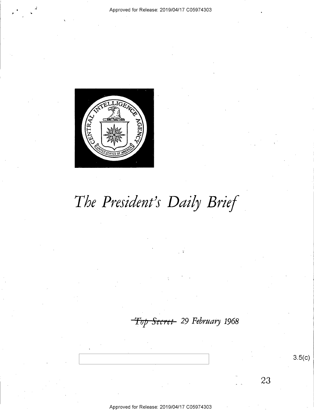

# The President's Daily Brief

Top Secret 29 February 1968

 $3.5(c)$ 

23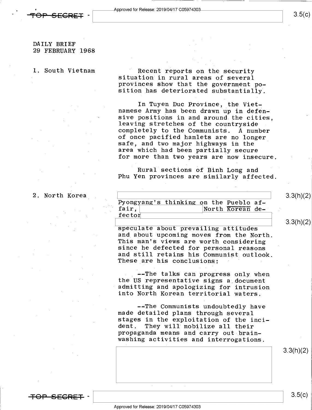### DAILY BRIEF 29 FEBRUARY 1968

1. South Vietnam Recent reports on the security situation in rural areas of several provinces show that the government position has deteriorated substantially.

> In Tuyen Duc Province, the Viet-<br>namese Army has been drawn up in defen-<br>sive positions in and around the cities. leaving stretches of the countryside<br>completely to the Communists. A number of once pacified hamlets are no longer safe, and two major highways in the area which had been partially secure for more than two years are now insecure.

> Rural sections of Binh Long and Phu Yen provinces are similarly affected

2. North Korea

-

<del>TOP SECRET</del>

| Сα |                                        |                  |  |
|----|----------------------------------------|------------------|--|
|    | Pyongyang's thinking on the Pueblo af- |                  |  |
|    | fair.                                  | North Korean de- |  |
|    | fector                                 |                  |  |
|    |                                        |                  |  |

speculate about prevailing attitudes<br>and about upcoming moves from the North. This man's views are worth considering<br>since he defected for personal reasons and still retains his Communist outlook.<br>These are his conclusions:

--The talks can progress only when the US representative signs a document admitting and apologizing for intrusion into North Korean territorial waters.

--The Communists undoubtedly have made detailed plans through several stages in the exploitation of the incident. They will mobilize all their propaganda means and carry out brain- washing activities and interrogations.

3.3(h)(2)

3.3(h)(2)

3.3(h)(2)

 $3.5(c)$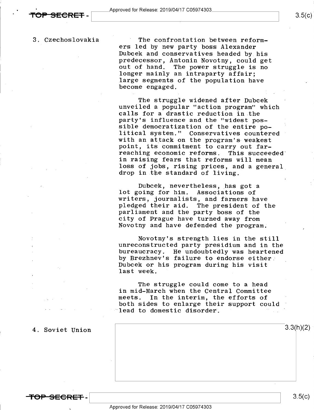$3.5(c)$ 

3. Czechoslovakia

<del>SECRET</del> -

The confrontation between reformers led by new party boss Alexander Dubcek and conservatives headed by his predecessor, Antonin Novotny, could get out of hand. The power struggle is no<br>longer mainly an intraparty affair; large segments of the population have become engaged.

The struggle widened after Dubcek<br>unveiled a popular "action program" which<br>calls for a drastic reduction in the<br>party's influence and the "widest possible democratization of the entire po-<br>litical system." Conservatives countered with an attack on the program's weakest point, its commitment to carry out far-<br>reaching economic reforms. This succeeded in raising fears that reforms will mean loss of jobs, rising prices, and a general<br>drop in the standard of living.

Dubcek, nevertheless, has got a lot going for him. Associations of<br>writers, journalists, and farmers have pledged their aid. The president of the<br>parliament and the party boss of the<br>city of Prague have turned away from Novotny and have defended the program.

Novotny's strength lies in the still unreconstructed party presidium and in the bureaucracy. He undoubtedly was heartened by Brezhnev's failure to endorse either;<br>Dubcek or his program during his visit last week.

The struggle could come to a head in mid-March when the Central Committee In the interim, the efforts of both sides to enlarge their support could lead to domestic disorder.

### 4. Soviet Union

**All the second control of the second control of the second control of the second control of the second control of the second control of the second control of the second control of the second control of the second control** 

3.5(c).

 $3.3(h)(2)$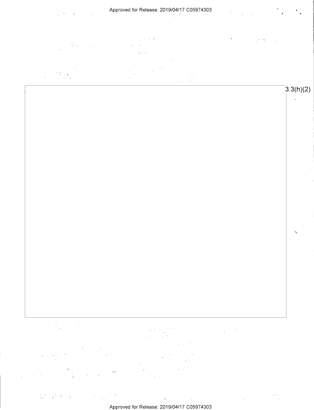Approved for Release: 2019/04/17 C05974303

 $\sim$  $\Box$ 

 $3.3(h)(2)$ 

 $\searrow$ 

 $\frac{1}{2}$  ,  $\frac{1}{2}$  ,  $\frac{1}{2}$  ,  $\frac{1}{2}$  ,

 $\mathbb{Z}$ 

 $\label{eq:2} \mathcal{A} = \mathcal{A} \times \mathcal{A} + \mathcal{A} \times \mathcal{A}$  $\frac{1}{2\pi}\sum_{i=1}^n\frac{1}{2\pi}\sum_{j=1}^n\frac{1}{2\pi\sigma_j^2}\sum_{i=1}^n\frac{1}{2\pi\sigma_j^2}\sum_{j=1}^n\frac{1}{2\pi\sigma_j^2}\sum_{j=1}^n\frac{1}{2\pi\sigma_j^2}\sum_{j=1}^n\frac{1}{2\pi\sigma_j^2}\sum_{j=1}^n\frac{1}{2\pi\sigma_j^2}\sum_{j=1}^n\frac{1}{2\pi\sigma_j^2}\sum_{j=1}^n\frac{1}{2\pi\sigma_j^2}\sum_{j=1}^n\frac{1}{2\pi\sigma$  $\lambda$ 

 $\bar{\mathbf{v}}$ Approved for Release: 2019/O4/17 CO5974303

 $\sim$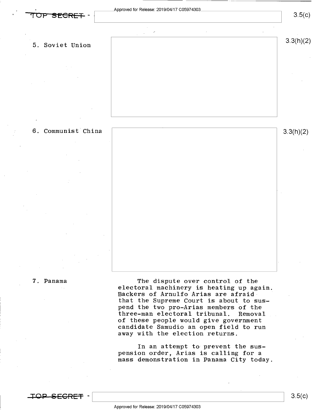

 $3.5(c)$ 

3.3(h)(2)

5. Soviet Union

6. Communist China 3jflhX2)

7. Panama The dispute over control of the electoral machinery is heating up again. Backers of Arnulfo Arias are afraidthat the Supreme Court is about to sus-<br>pend the two pro-Arias members of the three-man electoral tribunal. Removal of these people would give government candidate Samudio an open field to run away with the election returns.

> In an attempt to prevent the suspension order, Arias is calling for a mass demonstration in Panama City today

\_'1lO-P—S-EGRE-=F -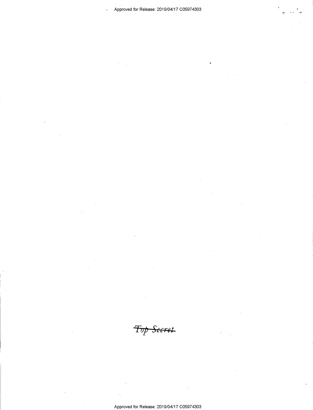$\overline{\mathbf{r}}$ 

 $\ddot{\phantom{a}}$ 

Top Secret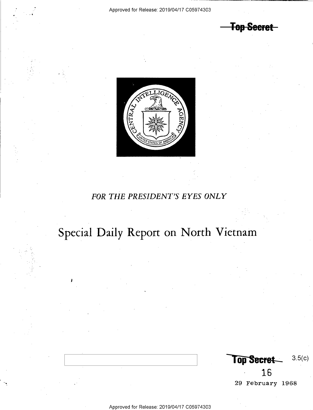**Top Secret** 



## FOR THE PRESIDENT'S EYES ONLY

## Special Daily Report on North Vietnam

I

 $Top$  Secret  $3.5(c)$ 16 29 February 1968

Approved for Release: 2019/O4/17 CO5974303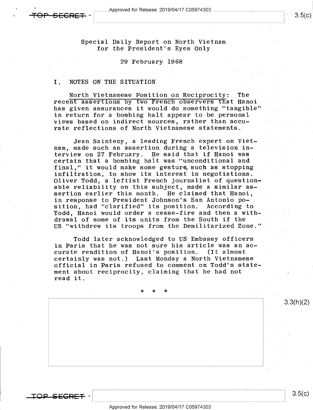\_ pproved for Release: 2019/O4/17 CO5974303

'

Special Daily Report on North Vietnam for the President's Eyes Only

### 29 February 1968

### I. NOTES ON THE SITUATION

North Vietnamese Position on Reciprocity: The recent assertions by two French observers that Hanoi has given assurances it would do something "tangible" in return.for a bombing halt appear to be personal views based on indirect.sources, rather than accurate reflections of North Vietnamese statements..

Jean Sainteny, a leading French expert on Vietnam, made such an assertion during a television interview on 27 February. He said that if Hanoi was certain that a bombing halt was "unconditional and final," it would make some gesture such as stopping infiltration, to show its interest in negotiations. Oliver Todd, a leftist French journalist of questionable reliability on this subject, made a similar as- . sertion earlier this month. He claimed that Hanoi, in response to President Johnson's San Antonio position, had "clarified" its position. According to Todd, Hanoi would order a cease-fire and then a with- ' drawal of some of its units from the South if the US "withdrew its troops from the Demilitarized Zone."

Todd later acknowledged to US Embassy officers in Paris that he was not sure his article was an accurate rendition of Hanoi's position. certainly was not.) Last Monday a North Vietnamese official in Paris refused to comment on Todd's statement about reciprocity, claiming that he had not read it.

\* \* \* '

OP SFGRET  $\mathbf{I}$   $3.5(c)$ 

3.3(h)(2)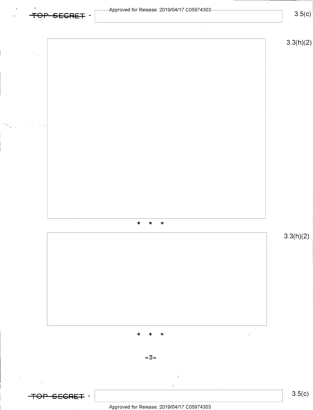

Approved for Release: 2019/O4/17 CO5974303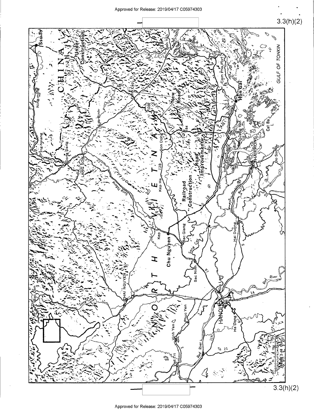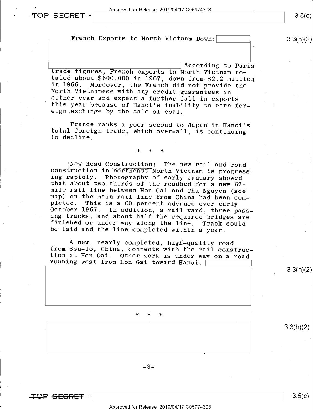### French Exports to North Vietnam Down: (3.3(h)(2)

According to Paris<br>trade figures, French exports to North Vietnam to-<br>taled about \$600,000 in 1967, down from \$2.2 million<br>in 1966. Moreover, the French did not provide the<br>North Vietnamese with any credit guarantees in<br>ei

France ranks a poor second to Japan in Hanoi's total foreign trade, which over-all, is continuing to decline.

### \* \* \*

New Road Construction: The new rail and road<br>construction in northeast North Vietnam is progress-<br>ing rapidly. Photography of early January showed<br>that about two-thirds of the roadbed for a new 67-<br>mile rail line between H pleted. This is a 60-percent advance over early<br>October 1967. In addition, a rail yard, three pass-<br>ing tracks, and about half the required bridges are finished or under way along the line. Track could<br>be laid and the line completed within a year.

A new, nearly completed, high-quality road from Ssu-lo, China, connects with the rail construc-<br>tion at Hon Gai. Other work is under way on a road<br>running west from Hon Gai toward Hanoi.  $\boxed{\phantom{\big|}}$ 

### \* \* \*

 $-3-$ 

<del>TOP SECRET</del>

 $3.5(c)$ 

 $3.3(h)(2)$ 

 $3.3(h)(2)$ 

 $3.5(c)$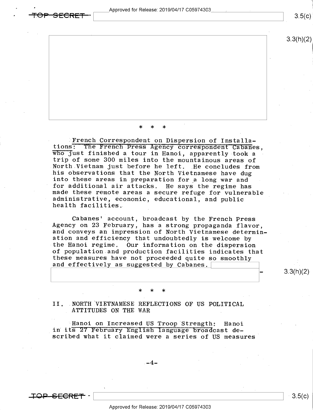' Approved for Release: 2019/O4/17 CO5974303

3.3(h)(2)

\* \* \*

French Correspondent on Dispersion of Installa-<br>tions: The French Press Agency correspondent Cabanes. who just finished a tour in Hanoi, apparently took a<br>trip of some 300 miles into the mountainous areas of<br>North Vietnam just before he left. He concludes from<br>his observations that the North Vietnamese have dug<br>into these ' for additional air attacks. He says the regime has made these remote areas a secure refuge for vulnerabl administrative, economic, educational, and public health facilities" 8 G

Cabanes' account, broadcast by the French Press<br>Agency on 23 February, has a strong propaganda flavor,<br>and conveys an impression of North Vietnamese determin<br>ation and efficiency that undoubtedly is welcome by<br>the Hanoi re these measures have not proceeded quite so smoothly and effectively as suggested by Cabanes.  $n$ of population and production facilities indicates that

\* \* \*

II. NORTH VIETNAMESE REFLECTIONS OF US POLITICAL ATTITUDES ON THE WAR

"Hanoi on Increased US Troop Strength: Hanoi<br>in its 27 February English language broadcast de-<br>scribed what it claimed were a series of US measures

<del>SECRET</del>

AA

3.5(c).

 $3.3(h)(2)$ 

 $3.5(c)$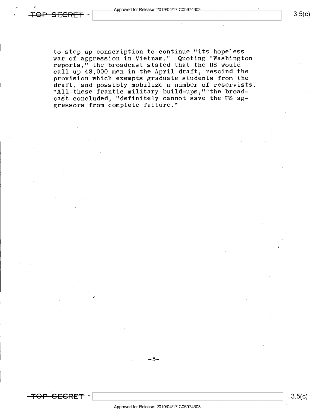to step up conscription to continue "its hopeless war of aggression in Vietnam." Quoting "Washington reports," the broadcast stated that the US would call up 48,000 men in the April draft, rescind the provision which exempts graduate students from the draft, and possibly mobilize a number of reservists. "All these frantic military build-ups, " the broadcast concluded, "definitely cannot save the US aggressors from complete failure."

/